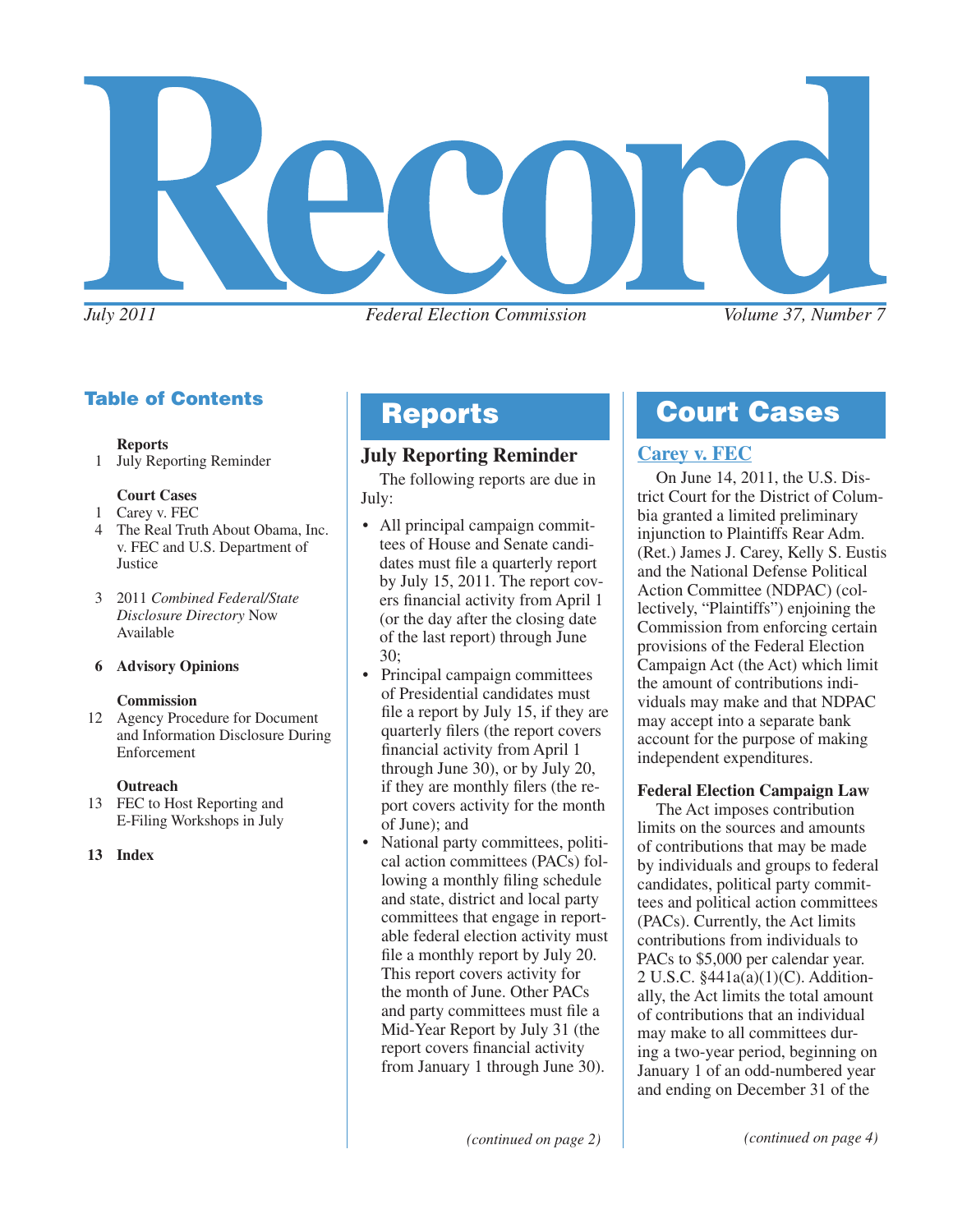

# Table of Contents

#### **Reports**

1 July Reporting Reminder

#### **Court Cases**

- 1 Carey v. FEC
- 4 The Real Truth About Obama, Inc. v. FEC and U.S. Department of Justice
- 3 2011 *Combined Federal/State Disclosure Directory* Now Available

#### **6 Advisory Opinions**

#### **Commission**

12 Agency Procedure for Document and Information Disclosure During Enforcement

#### **Outreach**

- 13 FEC to Host Reporting and E-Filing Workshops in July
- **13 Index**

# **July Reporting Reminder**

The following reports are due in July:

- All principal campaign committees of House and Senate candidates must file a quarterly report by July 15, 2011. The report covers financial activity from April 1 (or the day after the closing date of the last report) through June 30;
- Principal campaign committees of Presidential candidates must file a report by July 15, if they are quarterly filers (the report covers financial activity from April 1 through June 30), or by July 20, if they are monthly filers (the report covers activity for the month of June); and
- National party committees, political action committees (PACs) following a monthly filing schedule and state, district and local party committees that engage in reportable federal election activity must file a monthly report by July 20. This report covers activity for the month of June. Other PACs and party committees must file a Mid-Year Report by July 31 (the report covers financial activity from January 1 through June 30).

# Reports **Court Cases**

# **[Carey v. FEC](http://www.fec.gov/law/litigation/carey_dc_memo_opinion.pdf)**

On June 14, 2011, the U.S. District Court for the District of Columbia granted a limited preliminary injunction to Plaintiffs Rear Adm. (Ret.) James J. Carey, Kelly S. Eustis and the National Defense Political Action Committee (NDPAC) (collectively, "Plaintiffs") enjoining the Commission from enforcing certain provisions of the Federal Election Campaign Act (the Act) which limit the amount of contributions individuals may make and that NDPAC may accept into a separate bank account for the purpose of making independent expenditures.

# **Federal Election Campaign Law**

The Act imposes contribution limits on the sources and amounts of contributions that may be made by individuals and groups to federal candidates, political party committees and political action committees (PACs). Currently, the Act limits contributions from individuals to PACs to \$5,000 per calendar year. 2 U.S.C. §441a(a)(1)(C). Additionally, the Act limits the total amount of contributions that an individual may make to all committees during a two-year period, beginning on January 1 of an odd-numbered year and ending on December 31 of the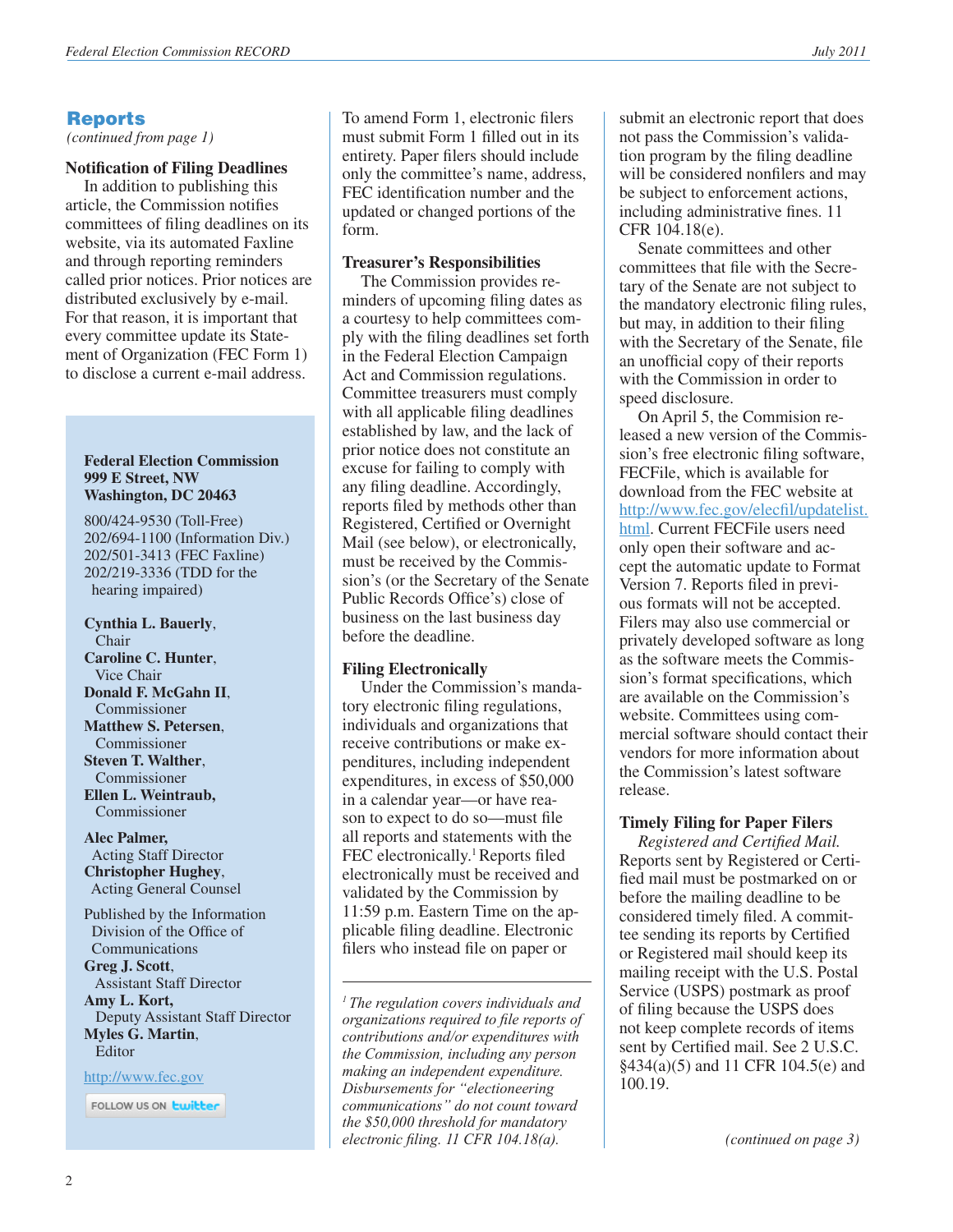# Reports

*(continued from page 1)*

#### **Notification of Filing Deadlines**

In addition to publishing this article, the Commission notifies committees of filing deadlines on its website, via its automated Faxline and through reporting reminders called prior notices. Prior notices are distributed exclusively by e-mail. For that reason, it is important that every committee update its Statement of Organization (FEC Form 1) to disclose a current e-mail address.

#### **Federal Election Commission 999 E Street, NW Washington, DC 20463**

800/424-9530 (Toll-Free) 202/694-1100 (Information Div.) 202/501-3413 (FEC Faxline) 202/219-3336 (TDD for the hearing impaired)

**Cynthia L. Bauerly**, Chair **Caroline C. Hunter**, Vice Chair **Donald F. McGahn II**, Commissioner **Matthew S. Petersen**, Commissioner **Steven T. Walther**, Commissioner **Ellen L. Weintraub,**  Commissioner

**Alec Palmer,** Acting Staff Director **Christopher Hughey**, Acting General Counsel

Published by the Information Division of the Office of Communications **Greg J. Scott**, Assistant Staff Director **Amy L. Kort,** Deputy Assistant Staff Director **Myles G. Martin**, Editor

<http://www.fec.gov>

FOLLOW US ON **Ewitter** 

To amend Form 1, electronic filers must submit Form 1 filled out in its entirety. Paper filers should include only the committee's name, address, FEC identification number and the updated or changed portions of the form.

#### **Treasurer's Responsibilities**

The Commission provides reminders of upcoming filing dates as a courtesy to help committees comply with the filing deadlines set forth in the Federal Election Campaign Act and Commission regulations. Committee treasurers must comply with all applicable filing deadlines established by law, and the lack of prior notice does not constitute an excuse for failing to comply with any filing deadline. Accordingly, reports filed by methods other than Registered, Certified or Overnight Mail (see below), or electronically, must be received by the Commission's (or the Secretary of the Senate Public Records Office's) close of business on the last business day before the deadline.

#### **Filing Electronically**

Under the Commission's mandatory electronic filing regulations, individuals and organizations that receive contributions or make expenditures, including independent expenditures, in excess of \$50,000 in a calendar year—or have reason to expect to do so—must file all reports and statements with the FEC electronically.<sup>1</sup> Reports filed electronically must be received and validated by the Commission by 11:59 p.m. Eastern Time on the applicable filing deadline. Electronic filers who instead file on paper or

*1 The regulation covers individuals and organizations required to file reports of contributions and/or expenditures with the Commission, including any person making an independent expenditure. Disbursements for "electioneering communications" do not count toward the \$50,000 threshold for mandatory electronic filing. 11 CFR 104.18(a).*

submit an electronic report that does not pass the Commission's validation program by the filing deadline will be considered nonfilers and may be subject to enforcement actions, including administrative fines. 11 CFR 104.18(e).

Senate committees and other committees that file with the Secretary of the Senate are not subject to the mandatory electronic filing rules, but may, in addition to their filing with the Secretary of the Senate, file an unofficial copy of their reports with the Commission in order to speed disclosure.

On April 5, the Commision released a new version of the Commission's free electronic filing software, FECFile, which is available for download from the FEC website at [http://www.fec.gov/elecfil/updatelist.](http://www.fec.gov/elecfil/updatelist.html) [html.](http://www.fec.gov/elecfil/updatelist.html) Current FECFile users need only open their software and accept the automatic update to Format Version 7. Reports filed in previous formats will not be accepted. Filers may also use commercial or privately developed software as long as the software meets the Commission's format specifications, which are available on the Commission's website. Committees using commercial software should contact their vendors for more information about the Commission's latest software release.

# **Timely Filing for Paper Filers**

*Registered and Certified Mail.* Reports sent by Registered or Certified mail must be postmarked on or before the mailing deadline to be considered timely filed. A committee sending its reports by Certified or Registered mail should keep its mailing receipt with the U.S. Postal Service (USPS) postmark as proof of filing because the USPS does not keep complete records of items sent by Certified mail. See 2 U.S.C. §434(a)(5) and 11 CFR 104.5(e) and 100.19.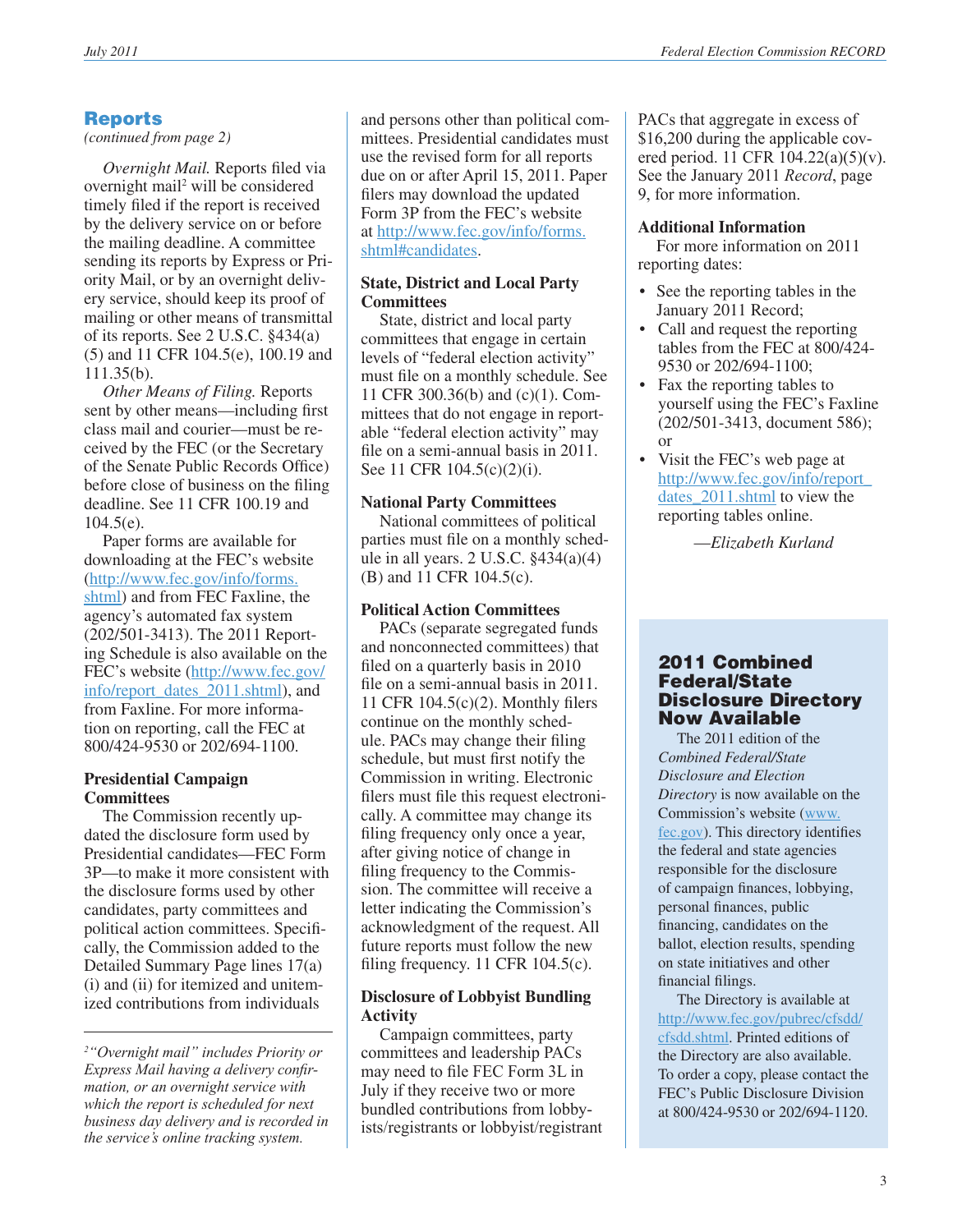# Reports

*(continued from page 2)*

*Overnight Mail.* Reports filed via overnight mail<sup>2</sup> will be considered timely filed if the report is received by the delivery service on or before the mailing deadline. A committee sending its reports by Express or Priority Mail, or by an overnight delivery service, should keep its proof of mailing or other means of transmittal of its reports. See 2 U.S.C. §434(a) (5) and 11 CFR 104.5(e), 100.19 and 111.35(b).

*Other Means of Filing.* Reports sent by other means—including first class mail and courier—must be received by the FEC (or the Secretary of the Senate Public Records Office) before close of business on the filing deadline. See 11 CFR 100.19 and 104.5(e).

Paper forms are available for downloading at the FEC's website ([http://www.fec.gov/info/forms.](http://www.fec.gov/info/forms.shtml) [shtml\)](http://www.fec.gov/info/forms.shtml) and from FEC Faxline, the agency's automated fax system (202/501-3413). The 2011 Reporting Schedule is also available on the FEC's website ([http://www.fec.gov/](http://www.fec.gov/info/report_dates_2011.shtml) [info/report\\_dates\\_2011.shtml](http://www.fec.gov/info/report_dates_2011.shtml)), and from Faxline. For more information on reporting, call the FEC at 800/424-9530 or 202/694-1100.

#### **Presidential Campaign Committees**

The Commission recently updated the disclosure form used by Presidential candidates—FEC Form 3P—to make it more consistent with the disclosure forms used by other candidates, party committees and political action committees. Specifically, the Commission added to the Detailed Summary Page lines 17(a) (i) and (ii) for itemized and unitemized contributions from individuals

and persons other than political committees. Presidential candidates must use the revised form for all reports due on or after April 15, 2011. Paper filers may download the updated Form 3P from the FEC's website at [http://www.fec.gov/info/forms.](http://www.fec.gov/info/forms.shtml#candidates) [shtml#candidates.](http://www.fec.gov/info/forms.shtml#candidates)

### **State, District and Local Party Committees**

State, district and local party committees that engage in certain levels of "federal election activity" must file on a monthly schedule. See 11 CFR 300.36(b) and (c)(1). Committees that do not engage in reportable "federal election activity" may file on a semi-annual basis in 2011. See 11 CFR 104.5(c)(2)(i).

# **National Party Committees**

National committees of political parties must file on a monthly schedule in all years.  $2$  U.S.C.  $§434(a)(4)$ (B) and 11 CFR 104.5(c).

# **Political Action Committees**

PACs (separate segregated funds and nonconnected committees) that filed on a quarterly basis in 2010 file on a semi-annual basis in 2011. 11 CFR 104.5(c)(2). Monthly filers continue on the monthly schedule. PACs may change their filing schedule, but must first notify the Commission in writing. Electronic filers must file this request electronically. A committee may change its filing frequency only once a year, after giving notice of change in filing frequency to the Commission. The committee will receive a letter indicating the Commission's acknowledgment of the request. All future reports must follow the new filing frequency. 11 CFR 104.5(c).

# **Disclosure of Lobbyist Bundling Activity**

Campaign committees, party committees and leadership PACs may need to file FEC Form 3L in July if they receive two or more bundled contributions from lobbyists/registrants or lobbyist/registrant PACs that aggregate in excess of \$16,200 during the applicable covered period. 11 CFR 104.22(a)(5)(v). See the January 2011 *Record*, page 9, for more information.

# **Additional Information**

For more information on 2011 reporting dates:

- See the reporting tables in the January 2011 Record;
- Call and request the reporting tables from the FEC at 800/424- 9530 or 202/694-1100;
- Fax the reporting tables to yourself using the FEC's Faxline (202/501-3413, document 586); or
- Visit the FEC's web page at [http://www.fec.gov/info/report\\_](http://www.fec.gov/info/report_dates_2011.shtml) dates 2011.shtml to view the reporting tables online.

—*Elizabeth Kurland*

### 2011 Combined Federal/State Disclosure Directory Now Available

 The 2011 edition of the *Combined Federal/State Disclosure and Election Directory* is now available on the Commission's website [\(www.](http://www.fec.gov) [fec.gov\)](http://www.fec.gov). This directory identifies the federal and state agencies responsible for the disclosure of campaign finances, lobbying, personal finances, public financing, candidates on the ballot, election results, spending on state initiatives and other financial filings.

 The Directory is available at [http://www.fec.gov/pubrec/cfsdd/](http://www.fec.gov/pubrec/cfsdd/cfsdd.shtml) [cfsdd.shtml](http://www.fec.gov/pubrec/cfsdd/cfsdd.shtml). Printed editions of the Directory are also available. To order a copy, please contact the FEC's Public Disclosure Division at 800/424-9530 or 202/694-1120.

*<sup>2</sup> "Overnight mail" includes Priority or Express Mail having a delivery confirmation, or an overnight service with which the report is scheduled for next business day delivery and is recorded in the service's online tracking system.*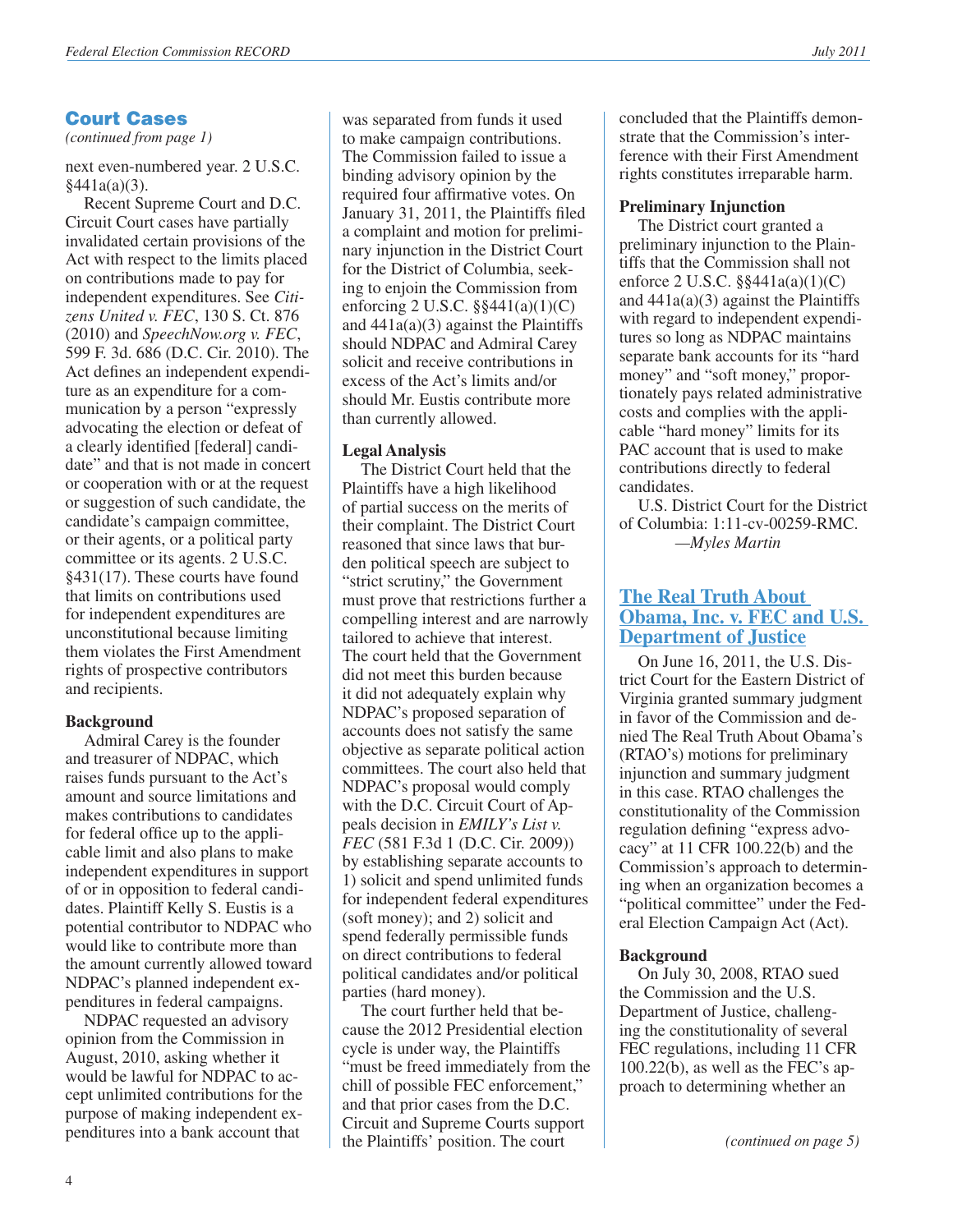# Court Cases

*(continued from page 1)*

next even-numbered year. 2 U.S.C. §441a(a)(3).

Recent Supreme Court and D.C. Circuit Court cases have partially invalidated certain provisions of the Act with respect to the limits placed on contributions made to pay for independent expenditures. See *Citizens United v. FEC*, 130 S. Ct. 876 (2010) and *SpeechNow.org v. FEC*, 599 F. 3d. 686 (D.C. Cir. 2010). The Act defines an independent expenditure as an expenditure for a communication by a person "expressly advocating the election or defeat of a clearly identified [federal] candidate" and that is not made in concert or cooperation with or at the request or suggestion of such candidate, the candidate's campaign committee, or their agents, or a political party committee or its agents. 2 U.S.C. §431(17). These courts have found that limits on contributions used for independent expenditures are unconstitutional because limiting them violates the First Amendment rights of prospective contributors and recipients.

#### **Background**

Admiral Carey is the founder and treasurer of NDPAC, which raises funds pursuant to the Act's amount and source limitations and makes contributions to candidates for federal office up to the applicable limit and also plans to make independent expenditures in support of or in opposition to federal candidates. Plaintiff Kelly S. Eustis is a potential contributor to NDPAC who would like to contribute more than the amount currently allowed toward NDPAC's planned independent expenditures in federal campaigns.

NDPAC requested an advisory opinion from the Commission in August, 2010, asking whether it would be lawful for NDPAC to accept unlimited contributions for the purpose of making independent expenditures into a bank account that

was separated from funds it used to make campaign contributions. The Commission failed to issue a binding advisory opinion by the required four affirmative votes. On January 31, 2011, the Plaintiffs filed a complaint and motion for preliminary injunction in the District Court for the District of Columbia, seeking to enjoin the Commission from enforcing 2 U.S.C. §§441(a)(1)(C) and 441a(a)(3) against the Plaintiffs should NDPAC and Admiral Carey solicit and receive contributions in excess of the Act's limits and/or should Mr. Eustis contribute more than currently allowed.

#### **Legal Analysis**

The District Court held that the Plaintiffs have a high likelihood of partial success on the merits of their complaint. The District Court reasoned that since laws that burden political speech are subject to "strict scrutiny," the Government must prove that restrictions further a compelling interest and are narrowly tailored to achieve that interest. The court held that the Government did not meet this burden because it did not adequately explain why NDPAC's proposed separation of accounts does not satisfy the same objective as separate political action committees. The court also held that NDPAC's proposal would comply with the D.C. Circuit Court of Appeals decision in *EMILY's List v. FEC* (581 F.3d 1 (D.C. Cir. 2009)) by establishing separate accounts to 1) solicit and spend unlimited funds for independent federal expenditures (soft money); and 2) solicit and spend federally permissible funds on direct contributions to federal political candidates and/or political parties (hard money).

The court further held that because the 2012 Presidential election cycle is under way, the Plaintiffs "must be freed immediately from the chill of possible FEC enforcement," and that prior cases from the D.C. Circuit and Supreme Courts support the Plaintiffs' position. The court

concluded that the Plaintiffs demonstrate that the Commission's interference with their First Amendment rights constitutes irreparable harm.

#### **Preliminary Injunction**

The District court granted a preliminary injunction to the Plaintiffs that the Commission shall not enforce 2 U.S.C. §§441a(a)(1)(C) and  $441a(a)(3)$  against the Plaintiffs with regard to independent expenditures so long as NDPAC maintains separate bank accounts for its "hard money" and "soft money," proportionately pays related administrative costs and complies with the applicable "hard money" limits for its PAC account that is used to make contributions directly to federal candidates.

U.S. District Court for the District of Columbia: 1:11-cv-00259-RMC. *—Myles Martin*

#### **[The Real Truth About](http://www.fec.gov/law/litigation/rtao_mem_opinion_remand061611.pdf)  [Obama, Inc. v. FEC and U.S.](http://www.fec.gov/law/litigation/rtao_mem_opinion_remand061611.pdf)  [Department of Justice](http://www.fec.gov/law/litigation/rtao_mem_opinion_remand061611.pdf)**

On June 16, 2011, the U.S. District Court for the Eastern District of Virginia granted summary judgment in favor of the Commission and denied The Real Truth About Obama's (RTAO's) motions for preliminary injunction and summary judgment in this case. RTAO challenges the constitutionality of the Commission regulation defining "express advocacy" at 11 CFR 100.22(b) and the Commission's approach to determining when an organization becomes a "political committee" under the Federal Election Campaign Act (Act).

#### **Background**

On July 30, 2008, RTAO sued the Commission and the U.S. Department of Justice, challenging the constitutionality of several FEC regulations, including 11 CFR 100.22(b), as well as the FEC's approach to determining whether an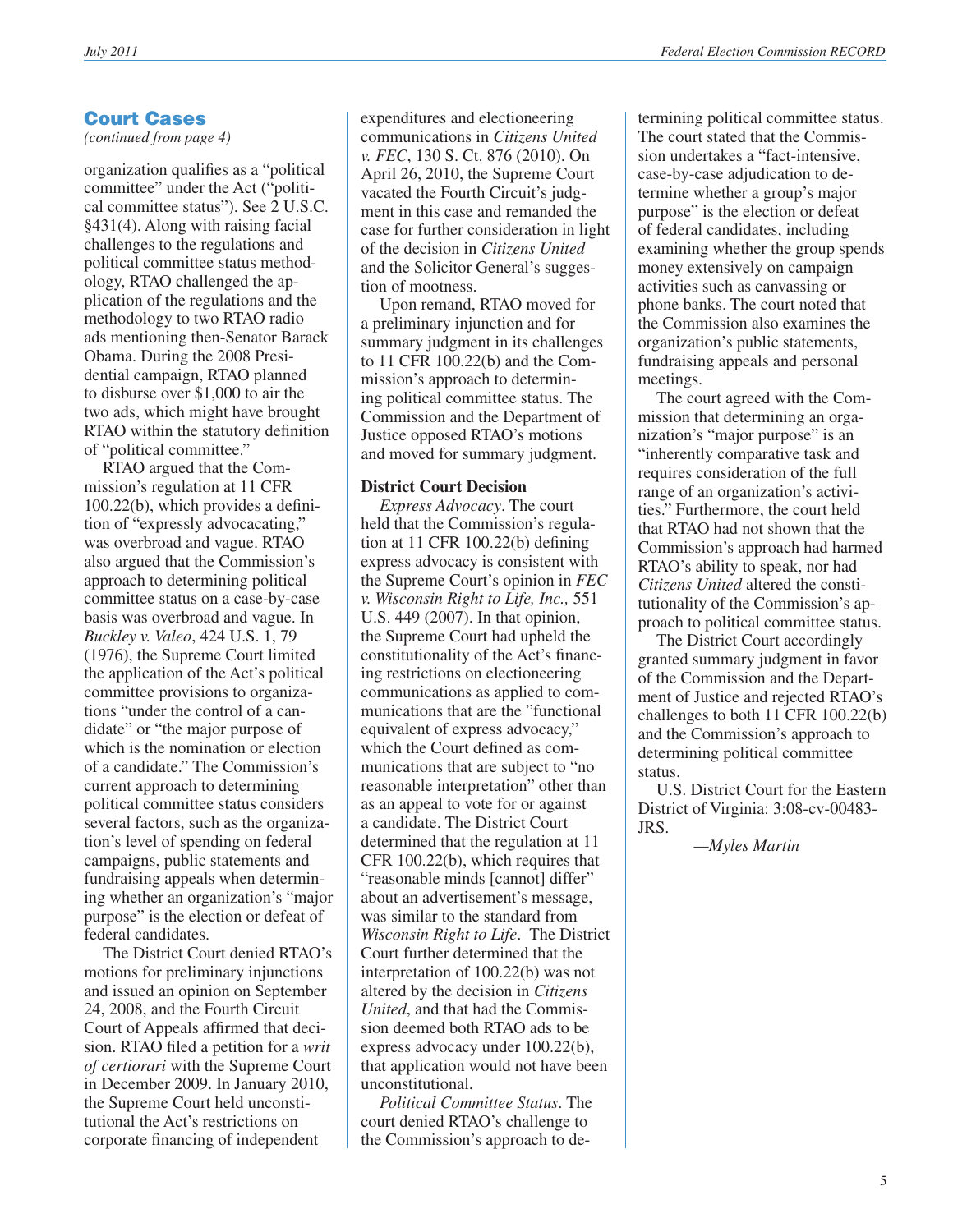# Court Cases

*(continued from page 4)*

organization qualifies as a "political committee" under the Act ("political committee status"). See 2 U.S.C. §431(4). Along with raising facial challenges to the regulations and political committee status methodology, RTAO challenged the application of the regulations and the methodology to two RTAO radio ads mentioning then-Senator Barack Obama. During the 2008 Presidential campaign, RTAO planned to disburse over \$1,000 to air the two ads, which might have brought RTAO within the statutory definition of "political committee."

RTAO argued that the Commission's regulation at 11 CFR 100.22(b), which provides a definition of "expressly advocacating," was overbroad and vague. RTAO also argued that the Commission's approach to determining political committee status on a case-by-case basis was overbroad and vague. In *Buckley v. Valeo*, 424 U.S. 1, 79 (1976), the Supreme Court limited the application of the Act's political committee provisions to organizations "under the control of a candidate" or "the major purpose of which is the nomination or election of a candidate." The Commission's current approach to determining political committee status considers several factors, such as the organization's level of spending on federal campaigns, public statements and fundraising appeals when determining whether an organization's "major purpose" is the election or defeat of federal candidates.

The District Court denied RTAO's motions for preliminary injunctions and issued an opinion on September 24, 2008, and the Fourth Circuit Court of Appeals affirmed that decision. RTAO filed a petition for a *writ of certiorari* with the Supreme Court in December 2009. In January 2010, the Supreme Court held unconstitutional the Act's restrictions on corporate financing of independent

expenditures and electioneering communications in *Citizens United v. FEC*, 130 S. Ct. 876 (2010). On April 26, 2010, the Supreme Court vacated the Fourth Circuit's judgment in this case and remanded the case for further consideration in light of the decision in *Citizens United* and the Solicitor General's suggestion of mootness.

Upon remand, RTAO moved for a preliminary injunction and for summary judgment in its challenges to 11 CFR 100.22(b) and the Commission's approach to determining political committee status. The Commission and the Department of Justice opposed RTAO's motions and moved for summary judgment.

#### **District Court Decision**

*Express Advocacy*. The court held that the Commission's regulation at 11 CFR 100.22(b) defining express advocacy is consistent with the Supreme Court's opinion in *FEC v. Wisconsin Right to Life, Inc.,* 551 U.S. 449 (2007). In that opinion, the Supreme Court had upheld the constitutionality of the Act's financing restrictions on electioneering communications as applied to communications that are the "functional equivalent of express advocacy," which the Court defined as communications that are subject to "no reasonable interpretation" other than as an appeal to vote for or against a candidate. The District Court determined that the regulation at 11 CFR 100.22(b), which requires that "reasonable minds [cannot] differ" about an advertisement's message, was similar to the standard from *Wisconsin Right to Life*. The District Court further determined that the interpretation of 100.22(b) was not altered by the decision in *Citizens United*, and that had the Commission deemed both RTAO ads to be express advocacy under 100.22(b), that application would not have been unconstitutional.

*Political Committee Status*. The court denied RTAO's challenge to the Commission's approach to de-

termining political committee status. The court stated that the Commission undertakes a "fact-intensive, case-by-case adjudication to determine whether a group's major purpose" is the election or defeat of federal candidates, including examining whether the group spends money extensively on campaign activities such as canvassing or phone banks. The court noted that the Commission also examines the organization's public statements, fundraising appeals and personal meetings.

The court agreed with the Commission that determining an organization's "major purpose" is an "inherently comparative task and requires consideration of the full range of an organization's activities." Furthermore, the court held that RTAO had not shown that the Commission's approach had harmed RTAO's ability to speak, nor had *Citizens United* altered the constitutionality of the Commission's approach to political committee status.

The District Court accordingly granted summary judgment in favor of the Commission and the Department of Justice and rejected RTAO's challenges to both 11 CFR 100.22(b) and the Commission's approach to determining political committee status.

U.S. District Court for the Eastern District of Virginia: 3:08-cv-00483- JRS.

*—Myles Martin*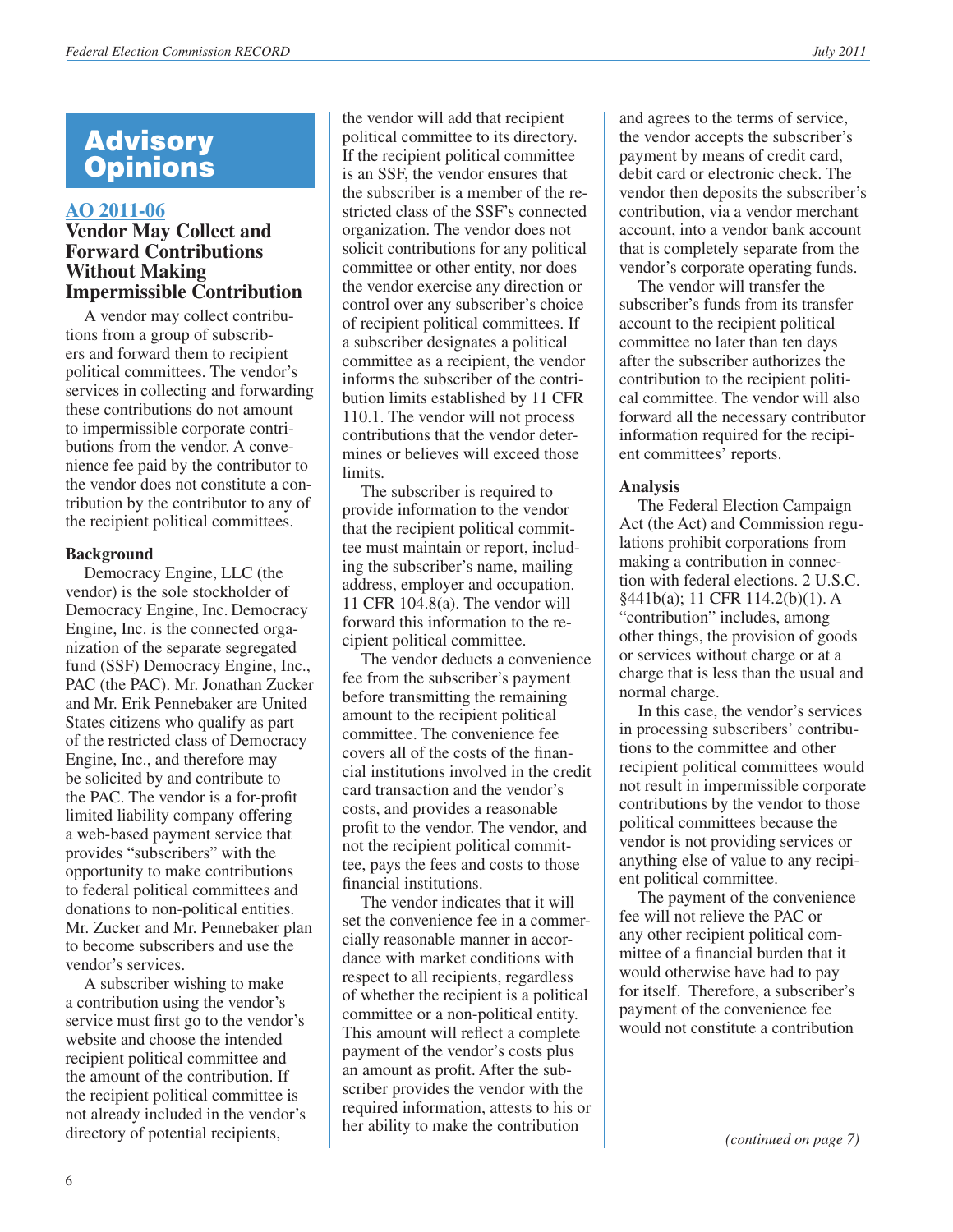# **[AO 2011-06](http://saos.fec.gov/aodocs/AO%202011-06.pdf)**

# **Vendor May Collect and Forward Contributions Without Making Impermissible Contribution**

A vendor may collect contributions from a group of subscribers and forward them to recipient political committees. The vendor's services in collecting and forwarding these contributions do not amount to impermissible corporate contributions from the vendor. A convenience fee paid by the contributor to the vendor does not constitute a contribution by the contributor to any of the recipient political committees.

#### **Background**

Democracy Engine, LLC (the vendor) is the sole stockholder of Democracy Engine, Inc. Democracy Engine, Inc. is the connected organization of the separate segregated fund (SSF) Democracy Engine, Inc., PAC (the PAC). Mr. Jonathan Zucker and Mr. Erik Pennebaker are United States citizens who qualify as part of the restricted class of Democracy Engine, Inc., and therefore may be solicited by and contribute to the PAC. The vendor is a for-profit limited liability company offering a web-based payment service that provides "subscribers" with the opportunity to make contributions to federal political committees and donations to non-political entities. Mr. Zucker and Mr. Pennebaker plan to become subscribers and use the vendor's services.

A subscriber wishing to make a contribution using the vendor's service must first go to the vendor's website and choose the intended recipient political committee and the amount of the contribution. If the recipient political committee is not already included in the vendor's directory of potential recipients,

the vendor will add that recipient political committee to its directory. If the recipient political committee is an SSF, the vendor ensures that the subscriber is a member of the restricted class of the SSF's connected organization. The vendor does not solicit contributions for any political committee or other entity, nor does the vendor exercise any direction or control over any subscriber's choice of recipient political committees. If a subscriber designates a political committee as a recipient, the vendor informs the subscriber of the contribution limits established by 11 CFR 110.1. The vendor will not process contributions that the vendor determines or believes will exceed those limits.

The subscriber is required to provide information to the vendor that the recipient political committee must maintain or report, including the subscriber's name, mailing address, employer and occupation. 11 CFR 104.8(a). The vendor will forward this information to the recipient political committee.

The vendor deducts a convenience fee from the subscriber's payment before transmitting the remaining amount to the recipient political committee. The convenience fee covers all of the costs of the financial institutions involved in the credit card transaction and the vendor's costs, and provides a reasonable profit to the vendor. The vendor, and not the recipient political committee, pays the fees and costs to those financial institutions.

The vendor indicates that it will set the convenience fee in a commercially reasonable manner in accordance with market conditions with respect to all recipients, regardless of whether the recipient is a political committee or a non-political entity. This amount will reflect a complete payment of the vendor's costs plus an amount as profit. After the subscriber provides the vendor with the required information, attests to his or her ability to make the contribution

and agrees to the terms of service, the vendor accepts the subscriber's payment by means of credit card, debit card or electronic check. The vendor then deposits the subscriber's contribution, via a vendor merchant account, into a vendor bank account that is completely separate from the vendor's corporate operating funds.

The vendor will transfer the subscriber's funds from its transfer account to the recipient political committee no later than ten days after the subscriber authorizes the contribution to the recipient political committee. The vendor will also forward all the necessary contributor information required for the recipient committees' reports.

#### **Analysis**

The Federal Election Campaign Act (the Act) and Commission regulations prohibit corporations from making a contribution in connection with federal elections. 2 U.S.C. §441b(a); 11 CFR 114.2(b)(1). A "contribution" includes, among other things, the provision of goods or services without charge or at a charge that is less than the usual and normal charge.

In this case, the vendor's services in processing subscribers' contributions to the committee and other recipient political committees would not result in impermissible corporate contributions by the vendor to those political committees because the vendor is not providing services or anything else of value to any recipient political committee.

The payment of the convenience fee will not relieve the PAC or any other recipient political committee of a financial burden that it would otherwise have had to pay for itself. Therefore, a subscriber's payment of the convenience fee would not constitute a contribution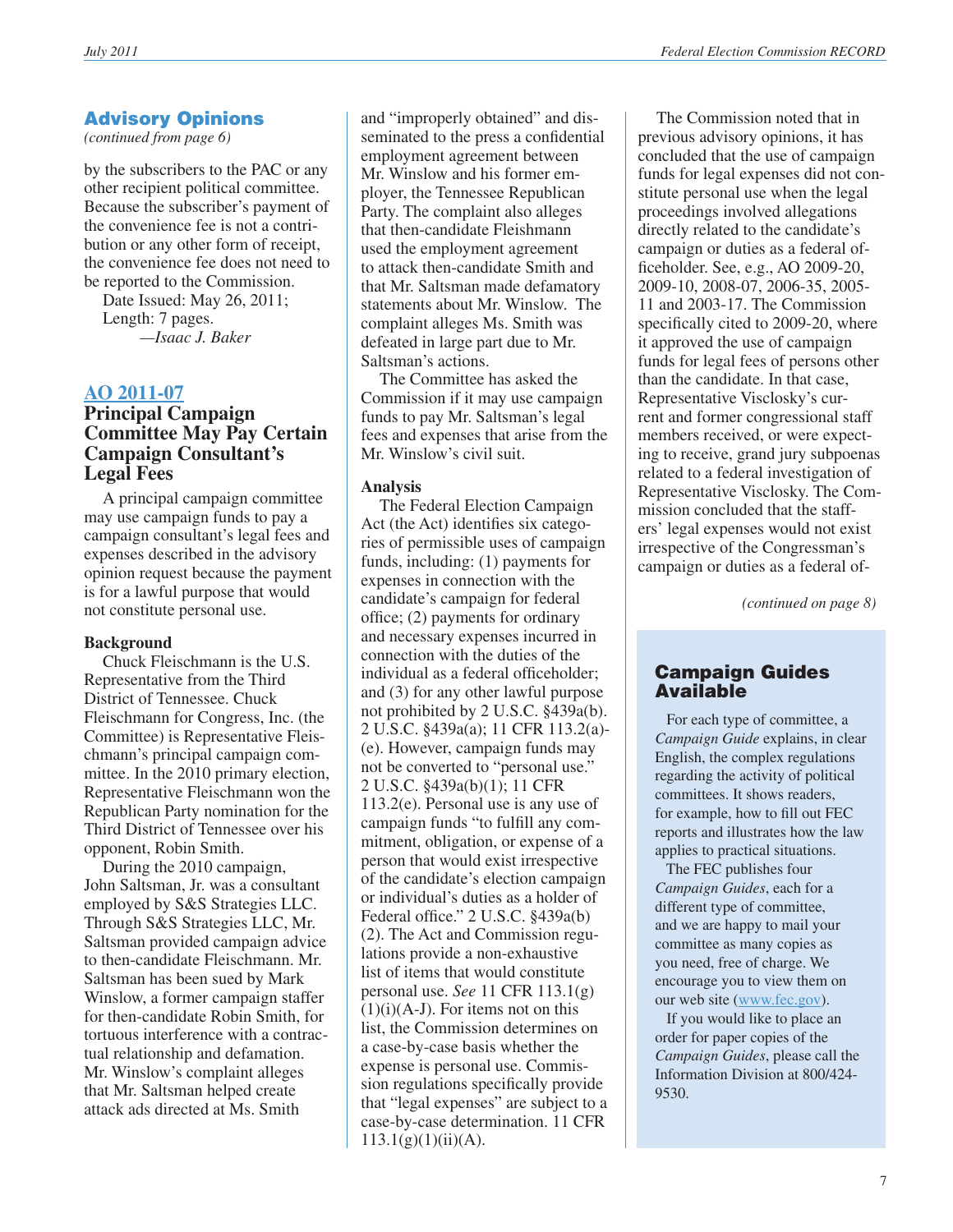*(continued from page 6)*

by the subscribers to the PAC or any other recipient political committee. Because the subscriber's payment of the convenience fee is not a contribution or any other form of receipt, the convenience fee does not need to be reported to the Commission.

Date Issued: May 26, 2011; Length: 7 pages. *—Isaac J. Baker*

# **[AO 2011-07](http://saos.fec.gov/aodocs/AO%202011-07.pdf) Principal Campaign**

# **Committee May Pay Certain Campaign Consultant's Legal Fees**

A principal campaign committee may use campaign funds to pay a campaign consultant's legal fees and expenses described in the advisory opinion request because the payment is for a lawful purpose that would not constitute personal use.

# **Background**

Chuck Fleischmann is the U.S. Representative from the Third District of Tennessee. Chuck Fleischmann for Congress, Inc. (the Committee) is Representative Fleischmann's principal campaign committee. In the 2010 primary election, Representative Fleischmann won the Republican Party nomination for the Third District of Tennessee over his opponent, Robin Smith.

During the 2010 campaign, John Saltsman, Jr. was a consultant employed by S&S Strategies LLC. Through S&S Strategies LLC, Mr. Saltsman provided campaign advice to then-candidate Fleischmann. Mr. Saltsman has been sued by Mark Winslow, a former campaign staffer for then-candidate Robin Smith, for tortuous interference with a contractual relationship and defamation. Mr. Winslow's complaint alleges that Mr. Saltsman helped create attack ads directed at Ms. Smith

and "improperly obtained" and disseminated to the press a confidential employment agreement between Mr. Winslow and his former employer, the Tennessee Republican Party. The complaint also alleges that then-candidate Fleishmann used the employment agreement to attack then-candidate Smith and that Mr. Saltsman made defamatory statements about Mr. Winslow. The complaint alleges Ms. Smith was defeated in large part due to Mr. Saltsman's actions.

The Committee has asked the Commission if it may use campaign funds to pay Mr. Saltsman's legal fees and expenses that arise from the Mr. Winslow's civil suit.

#### **Analysis**

The Federal Election Campaign Act (the Act) identifies six categories of permissible uses of campaign funds, including: (1) payments for expenses in connection with the candidate's campaign for federal office; (2) payments for ordinary and necessary expenses incurred in connection with the duties of the individual as a federal officeholder; and (3) for any other lawful purpose not prohibited by 2 U.S.C. §439a(b). 2 U.S.C. §439a(a); 11 CFR 113.2(a)- (e). However, campaign funds may not be converted to "personal use." 2 U.S.C. §439a(b)(1); 11 CFR 113.2(e). Personal use is any use of campaign funds "to fulfill any commitment, obligation, or expense of a person that would exist irrespective of the candidate's election campaign or individual's duties as a holder of Federal office." 2 U.S.C. §439a(b) (2). The Act and Commission regulations provide a non-exhaustive list of items that would constitute personal use. *See* 11 CFR 113.1(g)  $(1)(i)(A-J)$ . For items not on this list, the Commission determines on a case-by-case basis whether the expense is personal use. Commission regulations specifically provide that "legal expenses" are subject to a case-by-case determination. 11 CFR  $113.1(g)(1)(ii)(A).$ 

The Commission noted that in previous advisory opinions, it has concluded that the use of campaign funds for legal expenses did not constitute personal use when the legal proceedings involved allegations directly related to the candidate's campaign or duties as a federal officeholder. See, e.g., AO 2009-20, 2009-10, 2008-07, 2006-35, 2005- 11 and 2003-17. The Commission specifically cited to 2009-20, where it approved the use of campaign funds for legal fees of persons other than the candidate. In that case, Representative Visclosky's current and former congressional staff members received, or were expecting to receive, grand jury subpoenas related to a federal investigation of Representative Visclosky. The Commission concluded that the staffers' legal expenses would not exist irrespective of the Congressman's campaign or duties as a federal of-

*(continued on page 8)*

# Campaign Guides Available

 For each type of committee, a *Campaign Guide* explains, in clear English, the complex regulations regarding the activity of political committees. It shows readers, for example, how to fill out FEC reports and illustrates how the law applies to practical situations.

 The FEC publishes four *Campaign Guides*, each for a different type of committee, and we are happy to mail your committee as many copies as you need, free of charge. We encourage you to view them on our web site ([www.fec.gov\)](http://www.fec.gov).

 If you would like to place an order for paper copies of the *Campaign Guides*, please call the Information Division at 800/424- 9530.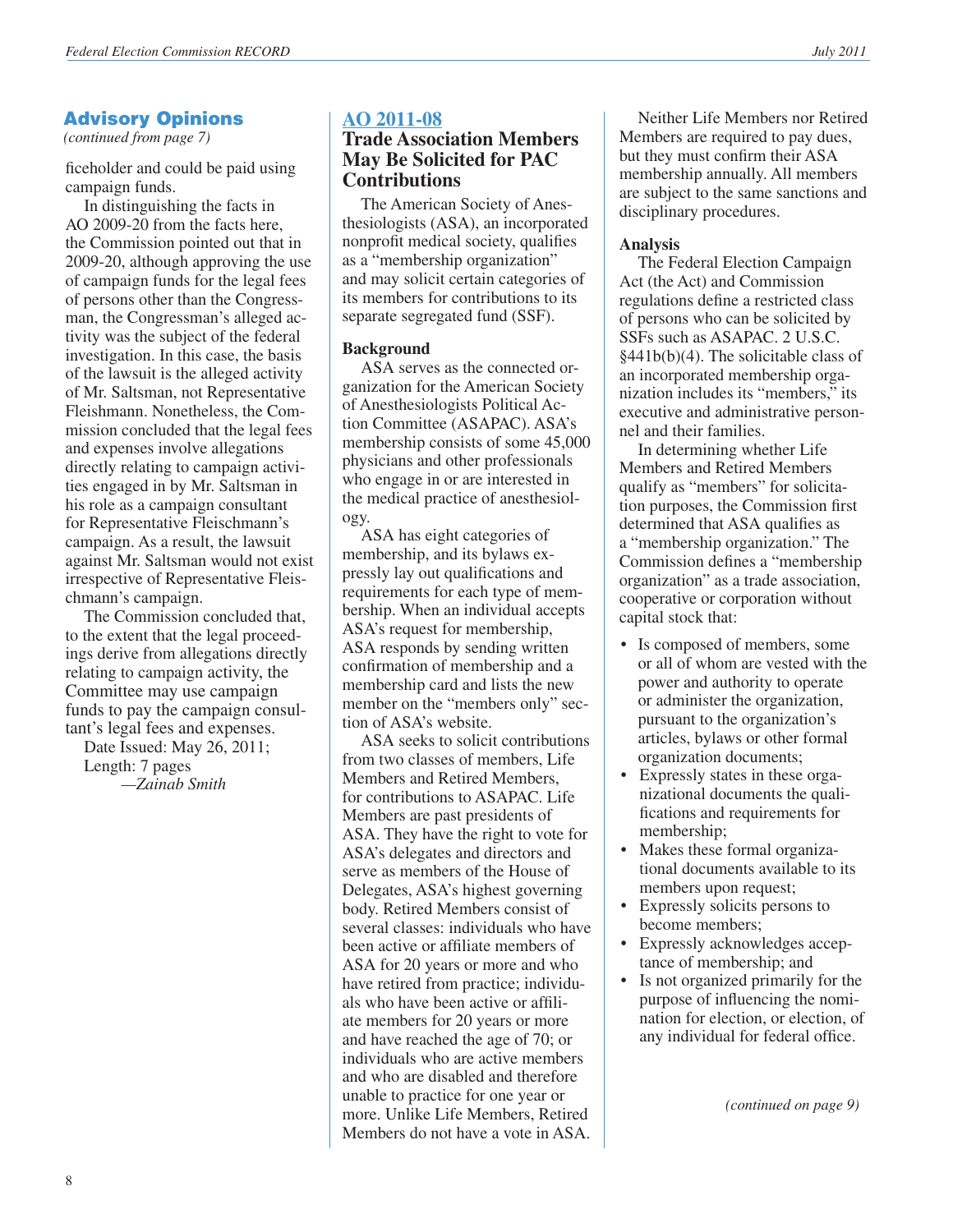*(continued from page 7)*

ficeholder and could be paid using campaign funds.

In distinguishing the facts in AO 2009-20 from the facts here, the Commission pointed out that in 2009-20, although approving the use of campaign funds for the legal fees of persons other than the Congressman, the Congressman's alleged activity was the subject of the federal investigation. In this case, the basis of the lawsuit is the alleged activity of Mr. Saltsman, not Representative Fleishmann. Nonetheless, the Commission concluded that the legal fees and expenses involve allegations directly relating to campaign activities engaged in by Mr. Saltsman in his role as a campaign consultant for Representative Fleischmann's campaign. As a result, the lawsuit against Mr. Saltsman would not exist irrespective of Representative Fleischmann's campaign.

The Commission concluded that, to the extent that the legal proceedings derive from allegations directly relating to campaign activity, the Committee may use campaign funds to pay the campaign consultant's legal fees and expenses.

Date Issued: May 26, 2011; Length: 7 pages *—Zainab Smith*

#### **[AO 2011-08](http://saos.fec.gov/aodocs/AO%202011-08.pdf)**

# **Trade Association Members May Be Solicited for PAC Contributions**

The American Society of Anesthesiologists (ASA), an incorporated nonprofit medical society, qualifies as a "membership organization" and may solicit certain categories of its members for contributions to its separate segregated fund (SSF).

#### **Background**

ASA serves as the connected organization for the American Society of Anesthesiologists Political Action Committee (ASAPAC). ASA's membership consists of some 45,000 physicians and other professionals who engage in or are interested in the medical practice of anesthesiology.

ASA has eight categories of membership, and its bylaws expressly lay out qualifications and requirements for each type of membership. When an individual accepts ASA's request for membership, ASA responds by sending written confirmation of membership and a membership card and lists the new member on the "members only" section of ASA's website.

ASA seeks to solicit contributions from two classes of members, Life Members and Retired Members, for contributions to ASAPAC. Life Members are past presidents of ASA. They have the right to vote for ASA's delegates and directors and serve as members of the House of Delegates, ASA's highest governing body. Retired Members consist of several classes: individuals who have been active or affiliate members of ASA for 20 years or more and who have retired from practice; individuals who have been active or affiliate members for 20 years or more and have reached the age of 70; or individuals who are active members and who are disabled and therefore unable to practice for one year or more. Unlike Life Members, Retired Members do not have a vote in ASA.

Neither Life Members nor Retired Members are required to pay dues, but they must confirm their ASA membership annually. All members are subject to the same sanctions and disciplinary procedures.

#### **Analysis**

The Federal Election Campaign Act (the Act) and Commission regulations define a restricted class of persons who can be solicited by SSFs such as ASAPAC. 2 U.S.C. §441b(b)(4). The solicitable class of an incorporated membership organization includes its "members," its executive and administrative personnel and their families.

In determining whether Life Members and Retired Members qualify as "members" for solicitation purposes, the Commission first determined that ASA qualifies as a "membership organization." The Commission defines a "membership organization" as a trade association, cooperative or corporation without capital stock that:

- Is composed of members, some or all of whom are vested with the power and authority to operate or administer the organization, pursuant to the organization's articles, bylaws or other formal organization documents;
- Expressly states in these organizational documents the qualifications and requirements for membership;
- Makes these formal organizational documents available to its members upon request;
- Expressly solicits persons to become members;
- Expressly acknowledges acceptance of membership; and
- Is not organized primarily for the purpose of influencing the nomination for election, or election, of any individual for federal office.

*(continued on page 9)*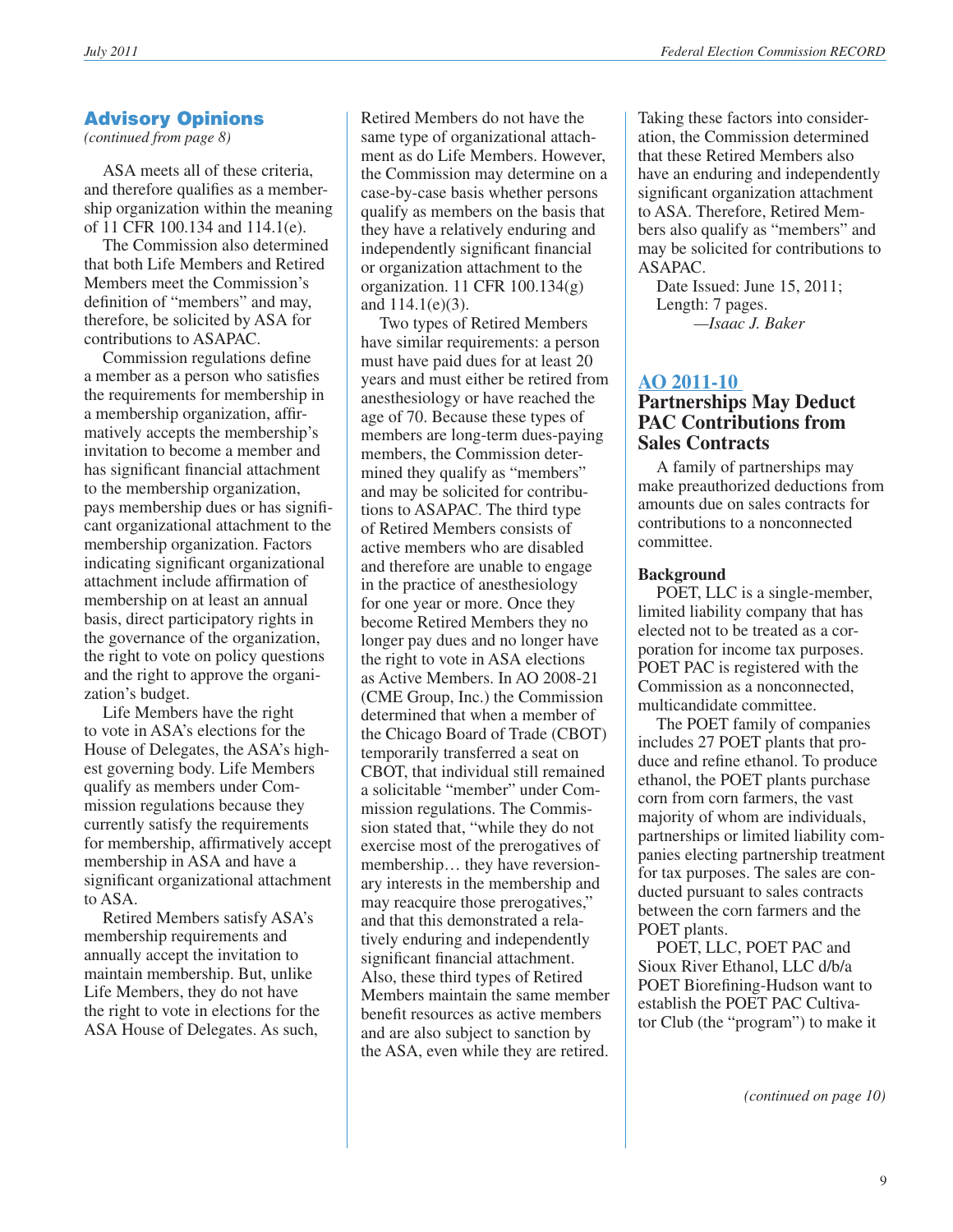*(continued from page 8)*

ASA meets all of these criteria, and therefore qualifies as a membership organization within the meaning of 11 CFR 100.134 and 114.1(e).

The Commission also determined that both Life Members and Retired Members meet the Commission's definition of "members" and may, therefore, be solicited by ASA for contributions to ASAPAC.

Commission regulations define a member as a person who satisfies the requirements for membership in a membership organization, affirmatively accepts the membership's invitation to become a member and has significant financial attachment to the membership organization, pays membership dues or has significant organizational attachment to the membership organization. Factors indicating significant organizational attachment include affirmation of membership on at least an annual basis, direct participatory rights in the governance of the organization, the right to vote on policy questions and the right to approve the organization's budget.

Life Members have the right to vote in ASA's elections for the House of Delegates, the ASA's highest governing body. Life Members qualify as members under Commission regulations because they currently satisfy the requirements for membership, affirmatively accept membership in ASA and have a significant organizational attachment to ASA.

Retired Members satisfy ASA's membership requirements and annually accept the invitation to maintain membership. But, unlike Life Members, they do not have the right to vote in elections for the ASA House of Delegates. As such,

Retired Members do not have the same type of organizational attachment as do Life Members. However, the Commission may determine on a case-by-case basis whether persons qualify as members on the basis that they have a relatively enduring and independently significant financial or organization attachment to the organization. 11 CFR 100.134(g) and 114.1(e)(3).

Two types of Retired Members have similar requirements: a person must have paid dues for at least 20 years and must either be retired from anesthesiology or have reached the age of 70. Because these types of members are long-term dues-paying members, the Commission determined they qualify as "members" and may be solicited for contributions to ASAPAC. The third type of Retired Members consists of active members who are disabled and therefore are unable to engage in the practice of anesthesiology for one year or more. Once they become Retired Members they no longer pay dues and no longer have the right to vote in ASA elections as Active Members. In AO 2008-21 (CME Group, Inc.) the Commission determined that when a member of the Chicago Board of Trade (CBOT) temporarily transferred a seat on CBOT, that individual still remained a solicitable "member" under Commission regulations. The Commission stated that, "while they do not exercise most of the prerogatives of membership… they have reversionary interests in the membership and may reacquire those prerogatives," and that this demonstrated a relatively enduring and independently significant financial attachment. Also, these third types of Retired Members maintain the same member benefit resources as active members and are also subject to sanction by the ASA, even while they are retired.

Taking these factors into consideration, the Commission determined that these Retired Members also have an enduring and independently significant organization attachment to ASA. Therefore, Retired Members also qualify as "members" and may be solicited for contributions to ASAPAC.

Date Issued: June 15, 2011; Length: 7 pages. *—Isaac J. Baker*

# **[AO 2011-10](http://saos.fec.gov/aodocs/AO%202011-10.pdf)**

# **Partnerships May Deduct PAC Contributions from Sales Contracts**

A family of partnerships may make preauthorized deductions from amounts due on sales contracts for contributions to a nonconnected committee.

#### **Background**

POET, LLC is a single-member, limited liability company that has elected not to be treated as a corporation for income tax purposes. POET PAC is registered with the Commission as a nonconnected, multicandidate committee.

The POET family of companies includes 27 POET plants that produce and refine ethanol. To produce ethanol, the POET plants purchase corn from corn farmers, the vast majority of whom are individuals, partnerships or limited liability companies electing partnership treatment for tax purposes. The sales are conducted pursuant to sales contracts between the corn farmers and the POET plants.

POET, LLC, POET PAC and Sioux River Ethanol, LLC d/b/a POET Biorefining-Hudson want to establish the POET PAC Cultivator Club (the "program") to make it

*(continued on page 10)*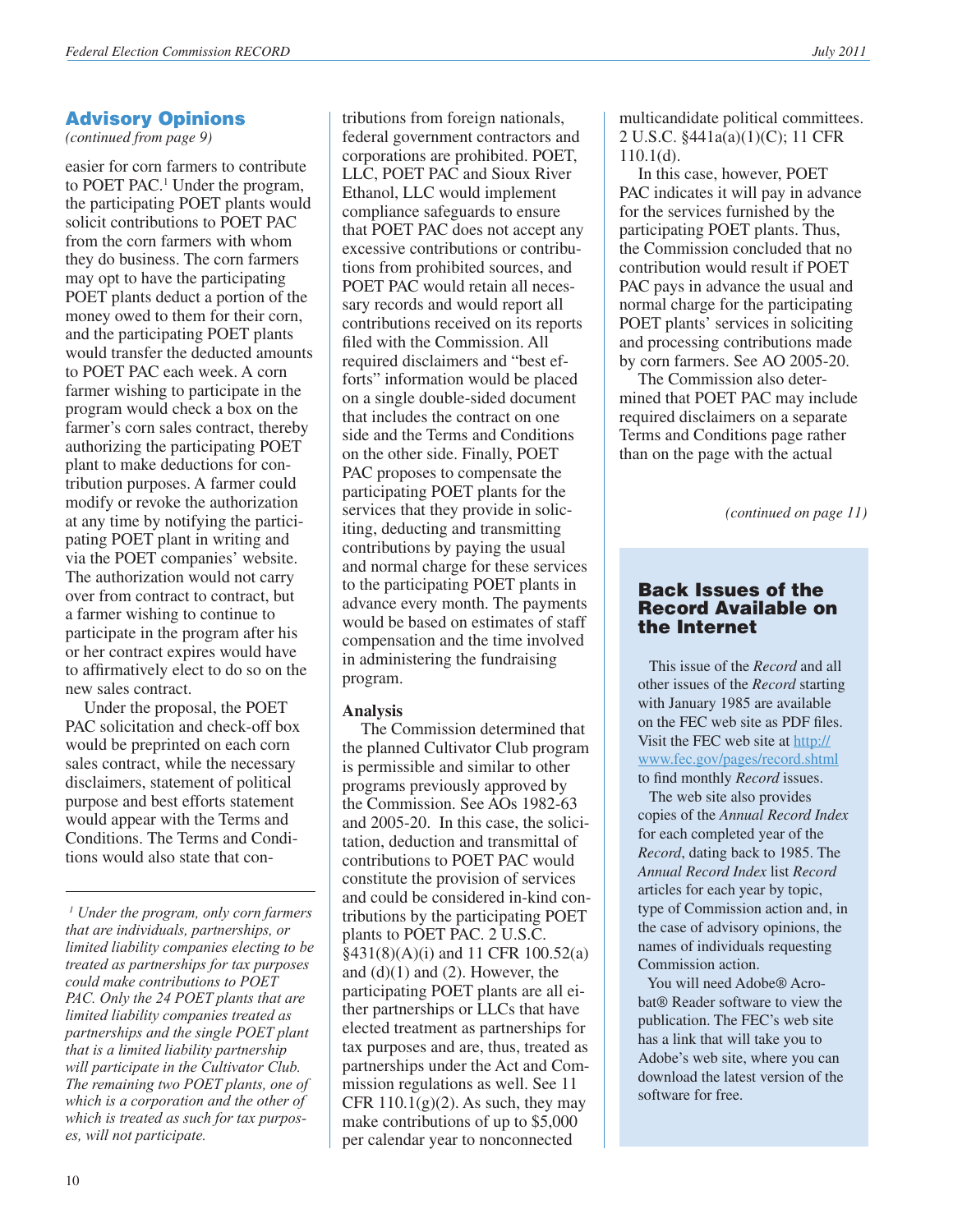*(continued from page 9)*

easier for corn farmers to contribute to POET PAC.<sup>1</sup> Under the program, the participating POET plants would solicit contributions to POET PAC from the corn farmers with whom they do business. The corn farmers may opt to have the participating POET plants deduct a portion of the money owed to them for their corn, and the participating POET plants would transfer the deducted amounts to POET PAC each week. A corn farmer wishing to participate in the program would check a box on the farmer's corn sales contract, thereby authorizing the participating POET plant to make deductions for contribution purposes. A farmer could modify or revoke the authorization at any time by notifying the participating POET plant in writing and via the POET companies' website. The authorization would not carry over from contract to contract, but a farmer wishing to continue to participate in the program after his or her contract expires would have to affirmatively elect to do so on the new sales contract.

Under the proposal, the POET PAC solicitation and check-off box would be preprinted on each corn sales contract, while the necessary disclaimers, statement of political purpose and best efforts statement would appear with the Terms and Conditions. The Terms and Conditions would also state that con-

tributions from foreign nationals, federal government contractors and corporations are prohibited. POET, LLC, POET PAC and Sioux River Ethanol, LLC would implement compliance safeguards to ensure that POET PAC does not accept any excessive contributions or contributions from prohibited sources, and POET PAC would retain all necessary records and would report all contributions received on its reports filed with the Commission. All required disclaimers and "best efforts" information would be placed on a single double-sided document that includes the contract on one side and the Terms and Conditions on the other side. Finally, POET PAC proposes to compensate the participating POET plants for the services that they provide in soliciting, deducting and transmitting contributions by paying the usual and normal charge for these services to the participating POET plants in advance every month. The payments would be based on estimates of staff compensation and the time involved in administering the fundraising program.

#### **Analysis**

The Commission determined that the planned Cultivator Club program is permissible and similar to other programs previously approved by the Commission. See AOs 1982-63 and 2005-20. In this case, the solicitation, deduction and transmittal of contributions to POET PAC would constitute the provision of services and could be considered in-kind contributions by the participating POET plants to POET PAC. 2 U.S.C. §431(8)(A)(i) and 11 CFR 100.52(a) and  $(d)(1)$  and  $(2)$ . However, the participating POET plants are all either partnerships or LLCs that have elected treatment as partnerships for tax purposes and are, thus, treated as partnerships under the Act and Commission regulations as well. See 11 CFR  $110.1(g)(2)$ . As such, they may make contributions of up to \$5,000 per calendar year to nonconnected

multicandidate political committees. 2 U.S.C. §441a(a)(1)(C); 11 CFR 110.1(d).

In this case, however, POET PAC indicates it will pay in advance for the services furnished by the participating POET plants. Thus, the Commission concluded that no contribution would result if POET PAC pays in advance the usual and normal charge for the participating POET plants' services in soliciting and processing contributions made by corn farmers. See AO 2005-20.

The Commission also determined that POET PAC may include required disclaimers on a separate Terms and Conditions page rather than on the page with the actual

*(continued on page 11)*

#### Back Issues of the Record Available on the Internet

 This issue of the *Record* and all other issues of the *Record* starting with January 1985 are available on the FEC web site as PDF files. Visit the FEC web site at [http://](http://www.fec.gov/pages/record.shtml) [www.fec.gov/pages/record.shtml](http://www.fec.gov/pages/record.shtml) to find monthly *Record* issues.

 The web site also provides copies of the *Annual Record Index* for each completed year of the *Record*, dating back to 1985. The *Annual Record Index* list *Record* articles for each year by topic, type of Commission action and, in the case of advisory opinions, the names of individuals requesting Commission action.

You will need Adobe® Acrobat® Reader software to view the publication. The FEC's web site has a link that will take you to Adobe's web site, where you can download the latest version of the software for free.

*<sup>1</sup> Under the program, only corn farmers that are individuals, partnerships, or limited liability companies electing to be treated as partnerships for tax purposes could make contributions to POET PAC. Only the 24 POET plants that are limited liability companies treated as partnerships and the single POET plant that is a limited liability partnership will participate in the Cultivator Club. The remaining two POET plants, one of which is a corporation and the other of which is treated as such for tax purposes, will not participate.*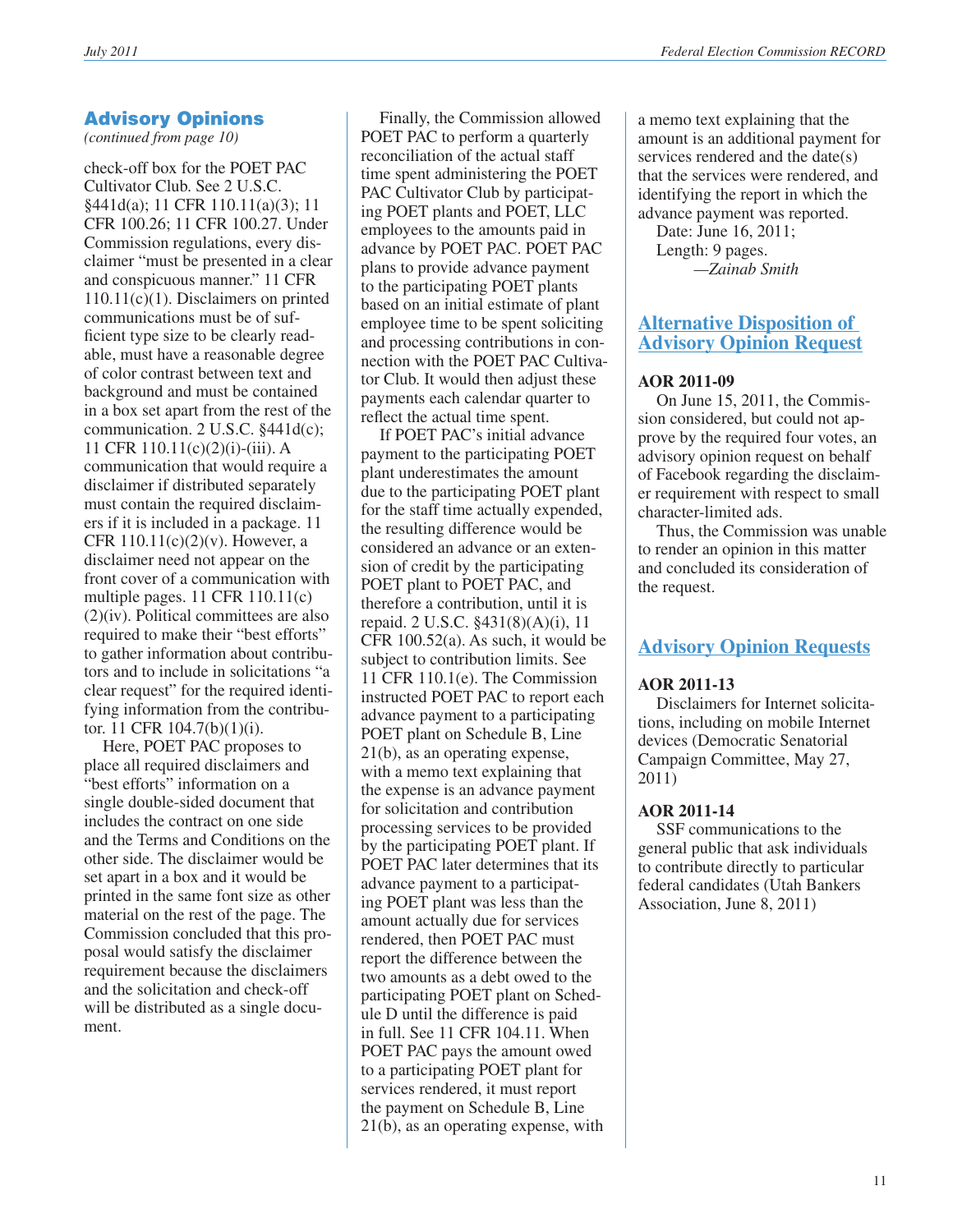*(continued from page 10)*

check-off box for the POET PAC Cultivator Club. See 2 U.S.C. §441d(a); 11 CFR 110.11(a)(3); 11 CFR 100.26; 11 CFR 100.27. Under Commission regulations, every disclaimer "must be presented in a clear and conspicuous manner." 11 CFR 110.11(c)(1). Disclaimers on printed communications must be of sufficient type size to be clearly readable, must have a reasonable degree of color contrast between text and background and must be contained in a box set apart from the rest of the communication. 2 U.S.C. §441d(c); 11 CFR 110.11(c)(2)(i)-(iii). A communication that would require a disclaimer if distributed separately must contain the required disclaimers if it is included in a package. 11 CFR  $110.11(c)(2)(v)$ . However, a disclaimer need not appear on the front cover of a communication with multiple pages. 11 CFR 110.11(c)  $(2)(iv)$ . Political committees are also required to make their "best efforts" to gather information about contributors and to include in solicitations "a clear request" for the required identifying information from the contributor. 11 CFR 104.7(b)(1)(i).

Here, POET PAC proposes to place all required disclaimers and "best efforts" information on a single double-sided document that includes the contract on one side and the Terms and Conditions on the other side. The disclaimer would be set apart in a box and it would be printed in the same font size as other material on the rest of the page. The Commission concluded that this proposal would satisfy the disclaimer requirement because the disclaimers and the solicitation and check-off will be distributed as a single document.

Finally, the Commission allowed POET PAC to perform a quarterly reconciliation of the actual staff time spent administering the POET PAC Cultivator Club by participating POET plants and POET, LLC employees to the amounts paid in advance by POET PAC. POET PAC plans to provide advance payment to the participating POET plants based on an initial estimate of plant employee time to be spent soliciting and processing contributions in connection with the POET PAC Cultivator Club. It would then adjust these payments each calendar quarter to reflect the actual time spent.

If POET PAC's initial advance payment to the participating POET plant underestimates the amount due to the participating POET plant for the staff time actually expended, the resulting difference would be considered an advance or an extension of credit by the participating POET plant to POET PAC, and therefore a contribution, until it is repaid. 2 U.S.C. §431(8)(A)(i), 11 CFR 100.52(a). As such, it would be subject to contribution limits. See 11 CFR 110.1(e). The Commission instructed POET PAC to report each advance payment to a participating POET plant on Schedule B, Line 21(b), as an operating expense, with a memo text explaining that the expense is an advance payment for solicitation and contribution processing services to be provided by the participating POET plant. If POET PAC later determines that its advance payment to a participating POET plant was less than the amount actually due for services rendered, then POET PAC must report the difference between the two amounts as a debt owed to the participating POET plant on Schedule D until the difference is paid in full. See 11 CFR 104.11. When POET PAC pays the amount owed to a participating POET plant for services rendered, it must report the payment on Schedule B, Line 21(b), as an operating expense, with

a memo text explaining that the amount is an additional payment for services rendered and the date(s) that the services were rendered, and identifying the report in which the advance payment was reported.

Date: June 16, 2011; Length: 9 pages. *—Zainab Smith* 

# **Alternative Disposition of Advisory Opinion Request**

#### **AOR 2011-09**

On June 15, 2011, the Commission considered, but could not approve by the required four votes, an advisory opinion request on behalf of Facebook regarding the disclaimer requirement with respect to small character-limited ads.

Thus, the Commission was unable to render an opinion in this matter and concluded its consideration of the request.

# **Advisory Opinion Requests**

#### **AOR 2011-13**

Disclaimers for Internet solicitations, including on mobile Internet devices (Democratic Senatorial Campaign Committee, May 27, 2011)

#### **AOR 2011-14**

SSF communications to the general public that ask individuals to contribute directly to particular federal candidates (Utah Bankers Association, June 8, 2011)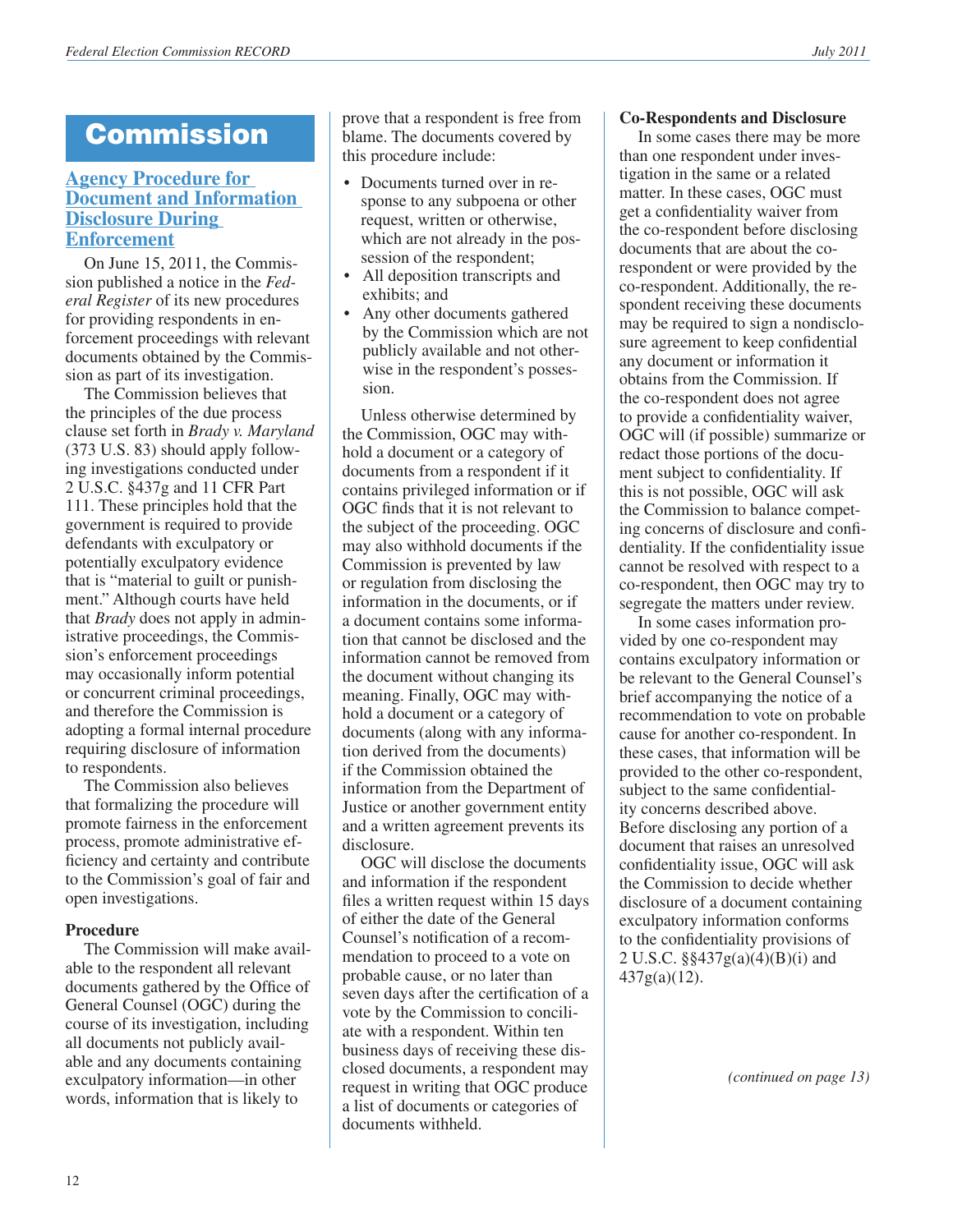# **Commission**

#### **[Agency Procedure for](http://www.fec.gov/law/cfr/ej_compilation/2011/notice_2011-06.pdf)  [Document and Information](http://www.fec.gov/law/cfr/ej_compilation/2011/notice_2011-06.pdf)  [Disclosure During](http://www.fec.gov/law/cfr/ej_compilation/2011/notice_2011-06.pdf)  [Enforcement](http://www.fec.gov/law/cfr/ej_compilation/2011/notice_2011-06.pdf)**

On June 15, 2011, the Commission published a notice in the *Federal Register* of its new procedures for providing respondents in enforcement proceedings with relevant documents obtained by the Commission as part of its investigation.

The Commission believes that the principles of the due process clause set forth in *Brady v. Maryland* (373 U.S. 83) should apply following investigations conducted under 2 U.S.C. §437g and 11 CFR Part 111. These principles hold that the government is required to provide defendants with exculpatory or potentially exculpatory evidence that is "material to guilt or punishment." Although courts have held that *Brady* does not apply in administrative proceedings, the Commission's enforcement proceedings may occasionally inform potential or concurrent criminal proceedings, and therefore the Commission is adopting a formal internal procedure requiring disclosure of information to respondents.

The Commission also believes that formalizing the procedure will promote fairness in the enforcement process, promote administrative efficiency and certainty and contribute to the Commission's goal of fair and open investigations.

#### **Procedure**

The Commission will make available to the respondent all relevant documents gathered by the Office of General Counsel (OGC) during the course of its investigation, including all documents not publicly available and any documents containing exculpatory information—in other words, information that is likely to

prove that a respondent is free from blame. The documents covered by this procedure include:

- Documents turned over in response to any subpoena or other request, written or otherwise, which are not already in the possession of the respondent;
- All deposition transcripts and exhibits; and
- Any other documents gathered by the Commission which are not publicly available and not otherwise in the respondent's possession.

Unless otherwise determined by the Commission, OGC may withhold a document or a category of documents from a respondent if it contains privileged information or if OGC finds that it is not relevant to the subject of the proceeding. OGC may also withhold documents if the Commission is prevented by law or regulation from disclosing the information in the documents, or if a document contains some information that cannot be disclosed and the information cannot be removed from the document without changing its meaning. Finally, OGC may withhold a document or a category of documents (along with any information derived from the documents) if the Commission obtained the information from the Department of Justice or another government entity and a written agreement prevents its disclosure.

OGC will disclose the documents and information if the respondent files a written request within 15 days of either the date of the General Counsel's notification of a recommendation to proceed to a vote on probable cause, or no later than seven days after the certification of a vote by the Commission to conciliate with a respondent. Within ten business days of receiving these disclosed documents, a respondent may request in writing that OGC produce a list of documents or categories of documents withheld.

#### **Co-Respondents and Disclosure**

In some cases there may be more than one respondent under investigation in the same or a related matter. In these cases, OGC must get a confidentiality waiver from the co-respondent before disclosing documents that are about the corespondent or were provided by the co-respondent. Additionally, the respondent receiving these documents may be required to sign a nondisclosure agreement to keep confidential any document or information it obtains from the Commission. If the co-respondent does not agree to provide a confidentiality waiver, OGC will (if possible) summarize or redact those portions of the document subject to confidentiality. If this is not possible, OGC will ask the Commission to balance competing concerns of disclosure and confidentiality. If the confidentiality issue cannot be resolved with respect to a co-respondent, then OGC may try to segregate the matters under review.

In some cases information provided by one co-respondent may contains exculpatory information or be relevant to the General Counsel's brief accompanying the notice of a recommendation to vote on probable cause for another co-respondent. In these cases, that information will be provided to the other co-respondent, subject to the same confidentiality concerns described above. Before disclosing any portion of a document that raises an unresolved confidentiality issue, OGC will ask the Commission to decide whether disclosure of a document containing exculpatory information conforms to the confidentiality provisions of 2 U.S.C. §§437g(a)(4)(B)(i) and  $437g(a)(12)$ .

*(continued on page 13)*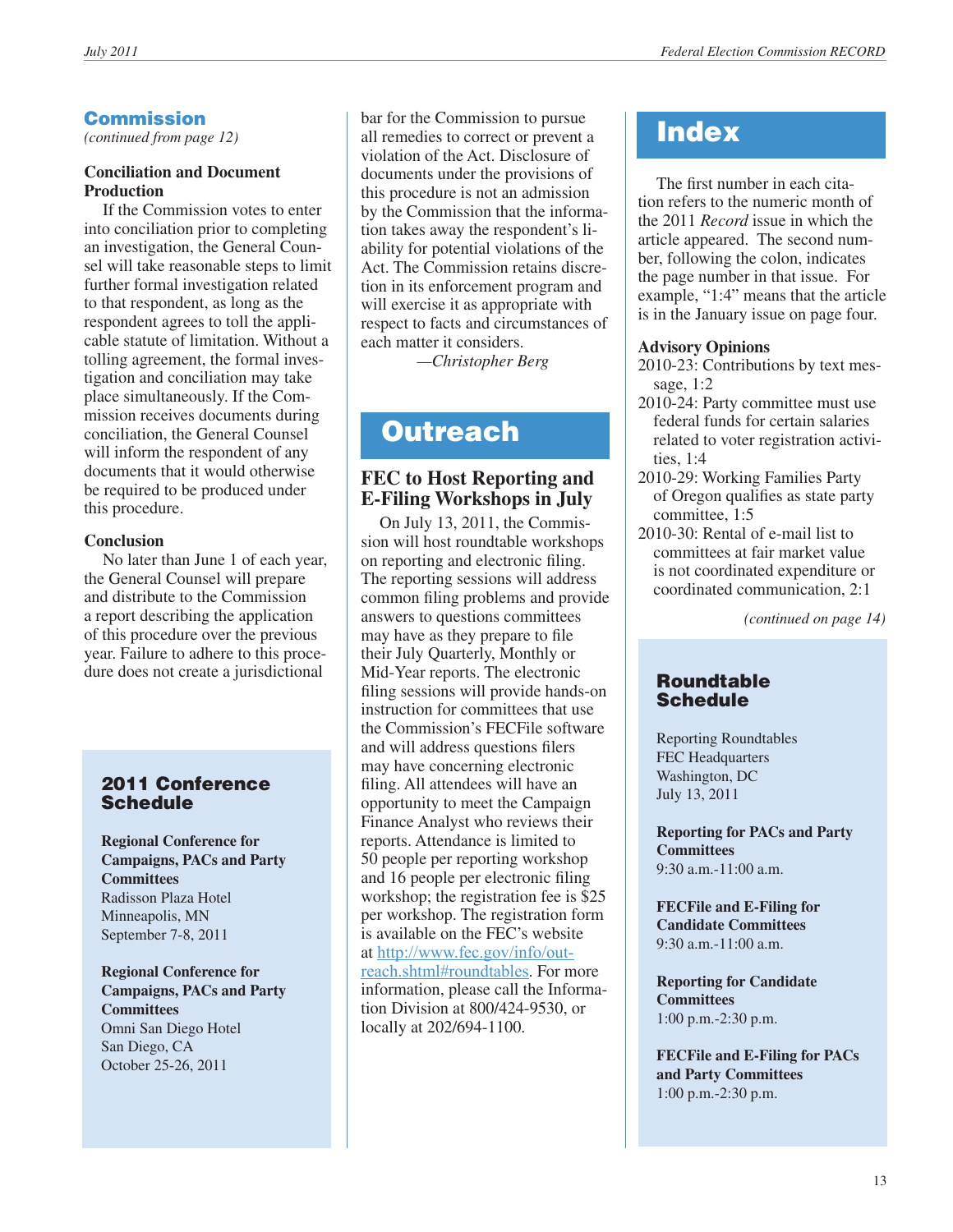# **Commission**

*(continued from page 12)*

#### **Conciliation and Document Production**

If the Commission votes to enter into conciliation prior to completing an investigation, the General Counsel will take reasonable steps to limit further formal investigation related to that respondent, as long as the respondent agrees to toll the applicable statute of limitation. Without a tolling agreement, the formal investigation and conciliation may take place simultaneously. If the Commission receives documents during conciliation, the General Counsel will inform the respondent of any documents that it would otherwise be required to be produced under this procedure.

#### **Conclusion**

No later than June 1 of each year, the General Counsel will prepare and distribute to the Commission a report describing the application of this procedure over the previous year. Failure to adhere to this procedure does not create a jurisdictional

# 2011 Conference **Schedule**

**Regional Conference for Campaigns, PACs and Party Committees** Radisson Plaza Hotel Minneapolis, MN September 7-8, 2011

**Regional Conference for Campaigns, PACs and Party Committees** Omni San Diego Hotel San Diego, CA October 25-26, 2011

bar for the Commission to pursue all remedies to correct or prevent a violation of the Act. Disclosure of documents under the provisions of this procedure is not an admission by the Commission that the information takes away the respondent's liability for potential violations of the Act. The Commission retains discretion in its enforcement program and will exercise it as appropriate with respect to facts and circumstances of each matter it considers.

*—Christopher Berg*

# **Outreach**

# **FEC to Host Reporting and E-Filing Workshops in July**

On July 13, 2011, the Commission will host roundtable workshops on reporting and electronic filing. The reporting sessions will address common filing problems and provide answers to questions committees may have as they prepare to file their July Quarterly, Monthly or Mid-Year reports. The electronic filing sessions will provide hands-on instruction for committees that use the Commission's FECFile software and will address questions filers may have concerning electronic filing. All attendees will have an opportunity to meet the Campaign Finance Analyst who reviews their reports. Attendance is limited to 50 people per reporting workshop and 16 people per electronic filing workshop; the registration fee is \$25 per workshop. The registration form is available on the FEC's website at [http://www.fec.gov/info/out](http://www.fec.gov/info/outreach.shtml#roundtables)[reach.shtml#roundtable](http://www.fec.gov/info/outreach.shtml#roundtables)s. For more information, please call the Information Division at 800/424-9530, or locally at 202/694-1100.

# **Index**

The first number in each citation refers to the numeric month of the 2011 *Record* issue in which the article appeared. The second number, following the colon, indicates the page number in that issue. For example, "1:4" means that the article is in the January issue on page four.

#### **Advisory Opinions**

- 2010-23: Contributions by text message, 1:2
- 2010-24: Party committee must use federal funds for certain salaries related to voter registration activities, 1:4
- 2010-29: Working Families Party of Oregon qualifies as state party committee, 1:5
- 2010-30: Rental of e-mail list to committees at fair market value is not coordinated expenditure or coordinated communication, 2:1

*(continued on page 14)*

#### Roundtable Schedule

Reporting Roundtables FEC Headquarters Washington, DC July 13, 2011

**Reporting for PACs and Party Committees** 9:30 a.m.-11:00 a.m.

**FECFile and E-Filing for Candidate Committees**  9:30 a.m.-11:00 a.m.

**Reporting for Candidate Committees** 1:00 p.m.-2:30 p.m.

**FECFile and E-Filing for PACs and Party Committees** 1:00 p.m.-2:30 p.m.